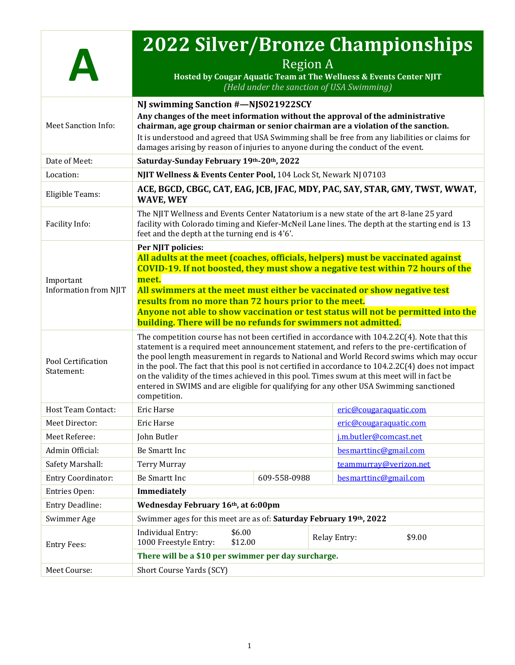|                                           | <b>2022 Silver/Bronze Championships</b><br>Hosted by Cougar Aquatic Team at The Wellness & Events Center NJIT                                                                                                                                                                                                                                                                                                                                                                                                                                                                                           | <b>Region A</b><br>(Held under the sanction of USA Swimming)                |  |                        |        |
|-------------------------------------------|---------------------------------------------------------------------------------------------------------------------------------------------------------------------------------------------------------------------------------------------------------------------------------------------------------------------------------------------------------------------------------------------------------------------------------------------------------------------------------------------------------------------------------------------------------------------------------------------------------|-----------------------------------------------------------------------------|--|------------------------|--------|
| Meet Sanction Info:                       | NJ swimming Sanction #-NJS021922SCY<br>Any changes of the meet information without the approval of the administrative<br>chairman, age group chairman or senior chairman are a violation of the sanction.<br>It is understood and agreed that USA Swimming shall be free from any liabilities or claims for<br>damages arising by reason of injuries to anyone during the conduct of the event.                                                                                                                                                                                                         |                                                                             |  |                        |        |
| Date of Meet:                             | Saturday-Sunday February 19th-20th, 2022                                                                                                                                                                                                                                                                                                                                                                                                                                                                                                                                                                |                                                                             |  |                        |        |
| Location:                                 | NJIT Wellness & Events Center Pool, 104 Lock St, Newark NJ 07103                                                                                                                                                                                                                                                                                                                                                                                                                                                                                                                                        |                                                                             |  |                        |        |
| Eligible Teams:                           | <b>WAVE, WEY</b>                                                                                                                                                                                                                                                                                                                                                                                                                                                                                                                                                                                        | ACE, BGCD, CBGC, CAT, EAG, JCB, JFAC, MDY, PAC, SAY, STAR, GMY, TWST, WWAT, |  |                        |        |
| Facility Info:                            | The NJIT Wellness and Events Center Natatorium is a new state of the art 8-lane 25 yard<br>facility with Colorado timing and Kiefer-McNeil Lane lines. The depth at the starting end is 13<br>feet and the depth at the turning end is 4'6'.                                                                                                                                                                                                                                                                                                                                                            |                                                                             |  |                        |        |
| Important<br><b>Information from NJIT</b> | Per NJIT policies:<br>All adults at the meet (coaches, officials, helpers) must be vaccinated against<br><b>COVID-19. If not boosted, they must show a negative test within 72 hours of the</b><br>meet.<br>All swimmers at the meet must either be vaccinated or show negative test<br>results from no more than 72 hours prior to the meet.<br>Anyone not able to show vaccination or test status will not be permitted into the<br>building. There will be no refunds for swimmers not admitted.                                                                                                     |                                                                             |  |                        |        |
| Pool Certification<br>Statement:          | The competition course has not been certified in accordance with 104.2.2C(4). Note that this<br>statement is a required meet announcement statement, and refers to the pre-certification of<br>the pool length measurement in regards to National and World Record swims which may occur<br>in the pool. The fact that this pool is not certified in accordance to 104.2.2C(4) does not impact<br>on the validity of the times achieved in this pool. Times swum at this meet will in fact be<br>entered in SWIMS and are eligible for qualifying for any other USA Swimming sanctioned<br>competition. |                                                                             |  |                        |        |
| <b>Host Team Contact:</b>                 | Eric Harse                                                                                                                                                                                                                                                                                                                                                                                                                                                                                                                                                                                              |                                                                             |  | eric@cougaraquatic.com |        |
| Meet Director:                            | <b>Eric Harse</b>                                                                                                                                                                                                                                                                                                                                                                                                                                                                                                                                                                                       |                                                                             |  | eric@cougaraquatic.com |        |
| Meet Referee:                             | John Butler                                                                                                                                                                                                                                                                                                                                                                                                                                                                                                                                                                                             |                                                                             |  | j.m.butler@comcast.net |        |
| Admin Official:                           | Be Smartt Inc                                                                                                                                                                                                                                                                                                                                                                                                                                                                                                                                                                                           |                                                                             |  | besmarttinc@gmail.com  |        |
| Safety Marshall:                          | <b>Terry Murray</b>                                                                                                                                                                                                                                                                                                                                                                                                                                                                                                                                                                                     |                                                                             |  | teammurray@verizon.net |        |
| <b>Entry Coordinator:</b>                 | Be Smartt Inc                                                                                                                                                                                                                                                                                                                                                                                                                                                                                                                                                                                           | 609-558-0988                                                                |  | besmarttinc@gmail.com  |        |
| Entries Open:                             | <b>Immediately</b>                                                                                                                                                                                                                                                                                                                                                                                                                                                                                                                                                                                      |                                                                             |  |                        |        |
| <b>Entry Deadline:</b>                    | Wednesday February 16th, at 6:00pm                                                                                                                                                                                                                                                                                                                                                                                                                                                                                                                                                                      |                                                                             |  |                        |        |
| Swimmer Age                               | Swimmer ages for this meet are as of: Saturday February 19th, 2022                                                                                                                                                                                                                                                                                                                                                                                                                                                                                                                                      |                                                                             |  |                        |        |
| <b>Entry Fees:</b>                        | \$6.00<br><b>Individual Entry:</b><br>1000 Freestyle Entry:<br>\$12.00                                                                                                                                                                                                                                                                                                                                                                                                                                                                                                                                  |                                                                             |  | Relay Entry:           | \$9.00 |
|                                           | There will be a \$10 per swimmer per day surcharge.                                                                                                                                                                                                                                                                                                                                                                                                                                                                                                                                                     |                                                                             |  |                        |        |
| Meet Course:                              | Short Course Yards (SCY)                                                                                                                                                                                                                                                                                                                                                                                                                                                                                                                                                                                |                                                                             |  |                        |        |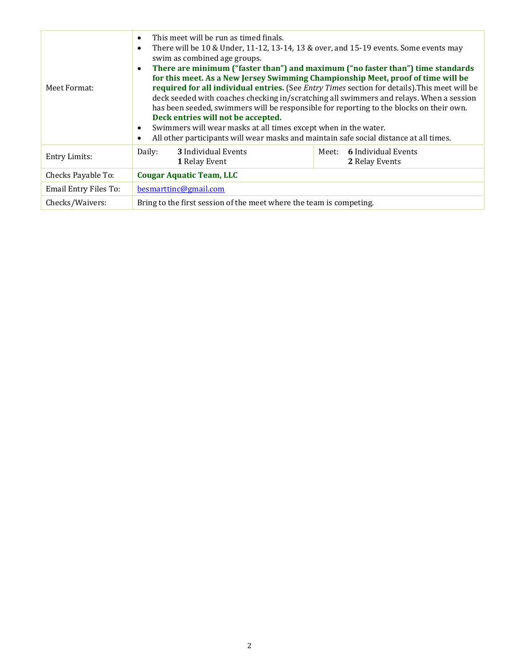| Meet Format:                 | This meet will be run as timed finals.<br>$\bullet$<br>There will be 10 & Under, 11-12, 13-14, 13 & over, and 15-19 events. Some events may<br>$\bullet$<br>swim as combined age groups.<br>$\bullet$<br>Deck entries will not be accepted.<br>Swimmers will wear masks at all times except when in the water.<br>$\bullet$<br>All other participants will wear masks and maintain safe social distance at all times.<br>$\bullet$ |       | There are minimum ("faster than") and maximum ("no faster than") time standards<br>for this meet. As a New Jersey Swimming Championship Meet, proof of time will be<br>required for all individual entries. (See <i>Entry Times</i> section for details). This meet will be<br>deck seeded with coaches checking in/scratching all swimmers and relays. When a session<br>has been seeded, swimmers will be responsible for reporting to the blocks on their own. |  |
|------------------------------|------------------------------------------------------------------------------------------------------------------------------------------------------------------------------------------------------------------------------------------------------------------------------------------------------------------------------------------------------------------------------------------------------------------------------------|-------|-------------------------------------------------------------------------------------------------------------------------------------------------------------------------------------------------------------------------------------------------------------------------------------------------------------------------------------------------------------------------------------------------------------------------------------------------------------------|--|
| <b>Entry Limits:</b>         | 3 Individual Events<br>Daily:<br>1 Relay Event                                                                                                                                                                                                                                                                                                                                                                                     | Meet: | <b>6</b> Individual Events<br>2 Relay Events                                                                                                                                                                                                                                                                                                                                                                                                                      |  |
| Checks Payable To:           | <b>Cougar Aquatic Team, LLC</b>                                                                                                                                                                                                                                                                                                                                                                                                    |       |                                                                                                                                                                                                                                                                                                                                                                                                                                                                   |  |
| <b>Email Entry Files To:</b> | besmarttinc@gmail.com                                                                                                                                                                                                                                                                                                                                                                                                              |       |                                                                                                                                                                                                                                                                                                                                                                                                                                                                   |  |
| Checks/Waivers:              | Bring to the first session of the meet where the team is competing.                                                                                                                                                                                                                                                                                                                                                                |       |                                                                                                                                                                                                                                                                                                                                                                                                                                                                   |  |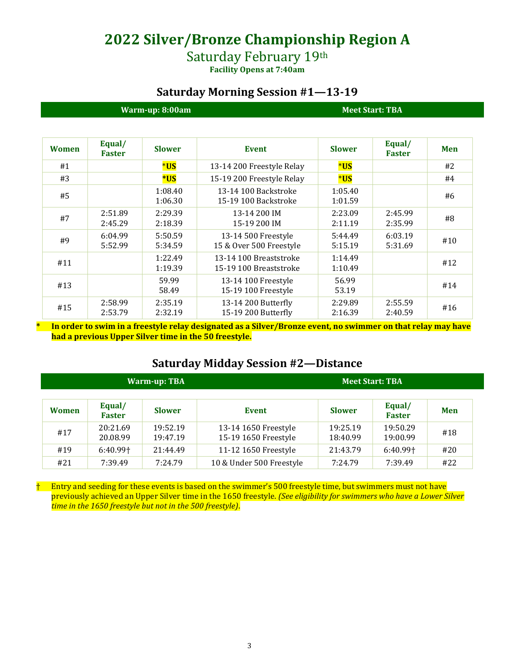**2022 Silver/Bronze Championship Region A**

## Saturday February 19th

**Facility Opens at 7:40am**

### **Saturday Morning Session #1—13-19**

| Warm-up: 8:00am |                         |                    |                                                  |                    | <b>Meet Start: TBA</b>  |            |
|-----------------|-------------------------|--------------------|--------------------------------------------------|--------------------|-------------------------|------------|
| <b>Women</b>    | Equal/<br><b>Faster</b> | <b>Slower</b>      | <b>Event</b>                                     | <b>Slower</b>      | Equal/<br><b>Faster</b> | <b>Men</b> |
| #1              |                         | *US                | 13-14 200 Freestyle Relay                        | *US                |                         | #2         |
| #3              |                         | <b>*US</b>         | 15-19 200 Freestyle Relay                        | *US                |                         | #4         |
| #5              |                         | 1:08.40<br>1:06.30 | 13-14 100 Backstroke<br>15-19 100 Backstroke     | 1:05.40<br>1:01.59 |                         | #6         |
| #7              | 2:51.89<br>2:45.29      | 2:29.39<br>2:18.39 | 13-14 200 IM<br>15-19 200 IM                     | 2:23.09<br>2:11.19 | 2:45.99<br>2:35.99      | #8         |
| #9              | 6:04.99<br>5:52.99      | 5:50.59<br>5:34.59 | 13-14 500 Freestyle<br>15 & Over 500 Freestyle   | 5:44.49<br>5:15.19 | 6:03.19<br>5:31.69      | #10        |
| #11             |                         | 1:22.49<br>1:19.39 | 13-14 100 Breaststroke<br>15-19 100 Breaststroke | 1:14.49<br>1:10.49 |                         | #12        |
| #13             |                         | 59.99<br>58.49     | 13-14 100 Freestyle<br>15-19 100 Freestyle       | 56.99<br>53.19     |                         | #14        |
| #15             | 2:58.99<br>2:53.79      | 2:35.19<br>2:32.19 | 13-14 200 Butterfly<br>15-19 200 Butterfly       | 2:29.89<br>2:16.39 | 2:55.59<br>2:40.59      | #16        |

**\* In order to swim in a freestyle relay designated as a Silver/Bronze event, no swimmer on that relay may have had a previous Upper Silver time in the 50 freestyle.**

### **Saturday Midday Session #2—Distance**

| <b>Warm-up: TBA</b> |                         |                      |                                              | <b>Meet Start: TBA</b> |                         |     |
|---------------------|-------------------------|----------------------|----------------------------------------------|------------------------|-------------------------|-----|
| <b>Women</b>        | Equal/<br><b>Faster</b> | <b>Slower</b>        | Event                                        | <b>Slower</b>          | Equal/<br><b>Faster</b> | Men |
| #17                 | 20:21.69<br>20.08.99    | 19:52.19<br>19:47.19 | 13-14 1650 Freestyle<br>15-19 1650 Freestyle | 19:25.19<br>18:40.99   | 19:50.29<br>19:00.99    | #18 |
| #19                 | $6:40.99$ <sup>+</sup>  | 21:44.49             | 11-12 1650 Freestyle                         | 21:43.79               | $6:40.99$ <sup>+</sup>  | #20 |
| #21                 | 7:39.49                 | 7:24.79              | 10 & Under 500 Freestyle                     | 7:24.79                | 7:39.49                 | #22 |

 $\dagger$  Entry and seeding for these events is based on the swimmer's 500 freestyle time, but swimmers must not have previously achieved an Upper Silver time in the 1650 freestyle. *(See eligibility for swimmers who have a Lower Silver time in the 1650 freestyle but not in the 500 freestyle)*.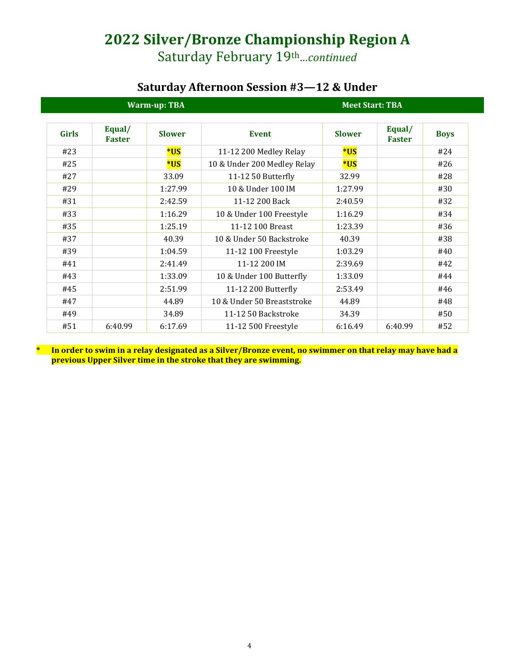# **2022 Silver/Bronze Championship Region A**

Saturday February 19th*…continued*

## **Saturday Afternoon Session #3—12 & Under**

| <b>Warm-up: TBA</b> |                         |               |                             |               | <b>Meet Start: TBA</b>  |             |
|---------------------|-------------------------|---------------|-----------------------------|---------------|-------------------------|-------------|
| <b>Girls</b>        | Equal/<br><b>Faster</b> | <b>Slower</b> | <b>Event</b>                | <b>Slower</b> | Equal/<br><b>Faster</b> | <b>Boys</b> |
| #23                 |                         | *US           | 11-12 200 Medley Relay      | *US           |                         | #24         |
| #25                 |                         | *US           | 10 & Under 200 Medley Relay | *US           |                         | #26         |
| #27                 |                         | 33.09         | 11-12 50 Butterfly          | 32.99         |                         | #28         |
| #29                 |                         | 1:27.99       | 10 & Under 100 IM           | 1:27.99       |                         | #30         |
| #31                 |                         | 2:42.59       | 11-12 200 Back              | 2:40.59       |                         | #32         |
| #33                 |                         | 1:16.29       | 10 & Under 100 Freestyle    | 1:16.29       |                         | #34         |
| #35                 |                         | 1:25.19       | 11-12 100 Breast            | 1:23.39       |                         | #36         |
| #37                 |                         | 40.39         | 10 & Under 50 Backstroke    | 40.39         |                         | #38         |
| #39                 |                         | 1:04.59       | 11-12 100 Freestyle         | 1:03.29       |                         | #40         |
| #41                 |                         | 2:41.49       | 11-12 200 IM                | 2:39.69       |                         | #42         |
| #43                 |                         | 1:33.09       | 10 & Under 100 Butterfly    | 1:33.09       |                         | #44         |
| #45                 |                         | 2:51.99       | 11-12 200 Butterfly         | 2:53.49       |                         | #46         |
| #47                 |                         | 44.89         | 10 & Under 50 Breaststroke  | 44.89         |                         | #48         |
| #49                 |                         | 34.89         | 11-12 50 Backstroke         | 34.39         |                         | #50         |
| #51                 | 6:40.99                 | 6:17.69       | 11-12 500 Freestyle         | 6:16.49       | 6:40.99                 | #52         |

**\* In order to swim in a relay designated as a Silver/Bronze event, no swimmer on that relay may have had a previous Upper Silver time in the stroke that they are swimming.**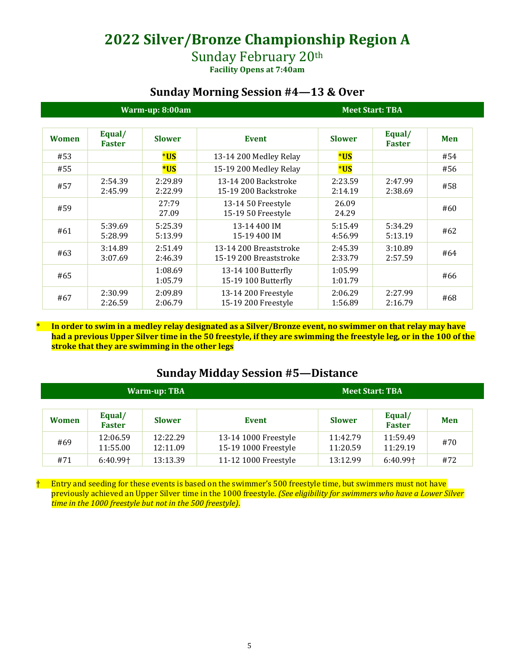# **2022 Silver/Bronze Championship Region A**

## Sunday February 20th

**Facility Opens at 7:40am**

## **Sunday Morning Session #4—13 & Over**

|              | Warm-up: 8:00am         |                    |                                                  |                    | <b>Meet Start: TBA</b>  |            |
|--------------|-------------------------|--------------------|--------------------------------------------------|--------------------|-------------------------|------------|
| <b>Women</b> | Equal/<br><b>Faster</b> | <b>Slower</b>      | <b>Event</b>                                     | <b>Slower</b>      | Equal/<br><b>Faster</b> | <b>Men</b> |
| #53          |                         | $*$ US             | 13-14 200 Medley Relay                           | *US                |                         | #54        |
| #55          |                         | *US                | 15-19 200 Medley Relay                           | *US                |                         | #56        |
| #57          | 2:54.39<br>2:45.99      | 2:29.89<br>2:22.99 | 13-14 200 Backstroke<br>15-19 200 Backstroke     | 2:23.59<br>2:14.19 | 2:47.99<br>2:38.69      | #58        |
| #59          |                         | 27:79<br>27.09     | 13-14 50 Freestyle<br>15-19 50 Freestyle         | 26.09<br>24.29     |                         | #60        |
| #61          | 5:39.69<br>5:28.99      | 5:25.39<br>5:13.99 | 13-14 400 IM<br>15-19 400 IM                     | 5:15.49<br>4:56.99 | 5:34.29<br>5:13.19      | #62        |
| #63          | 3:14.89<br>3:07.69      | 2:51.49<br>2:46.39 | 13-14 200 Breaststroke<br>15-19 200 Breaststroke | 2:45.39<br>2:33.79 | 3:10.89<br>2:57.59      | #64        |
| #65          |                         | 1:08.69<br>1:05.79 | 13-14 100 Butterfly<br>15-19 100 Butterfly       | 1:05.99<br>1:01.79 |                         | #66        |
| #67          | 2:30.99<br>2:26.59      | 2:09.89<br>2:06.79 | 13-14 200 Freestyle<br>15-19 200 Freestyle       | 2:06.29<br>1:56.89 | 2:27.99<br>2:16.79      | #68        |

**\* In order to swim in a medley relay designated as a Silver/Bronze event, no swimmer on that relay may have had a previous Upper Silver time in the 50 freestyle, if they are swimming the freestyle leg, or in the 100 of the stroke that they are swimming in the other legs**

## **Sunday Midday Session #5—Distance**

| <b>Warm-up: TBA</b> |                         |                      |                                              |                      | <b>Meet Start: TBA</b>  |            |
|---------------------|-------------------------|----------------------|----------------------------------------------|----------------------|-------------------------|------------|
| <b>Women</b>        | Equal/<br><b>Faster</b> | <b>Slower</b>        | Event                                        | <b>Slower</b>        | Equal/<br><b>Faster</b> | <b>Men</b> |
| #69                 | 12:06.59<br>11:55.00    | 12:22.29<br>12:11.09 | 13-14 1000 Freestyle<br>15-19 1000 Freestyle | 11:42.79<br>11:20.59 | 11:59.49<br>11:29.19    | #70        |
| #71                 | $6:40.99$ <sup>+</sup>  | 13:13.39             | 11-12 1000 Freestyle                         | 13:12.99             | $6:40.99$ <sup>+</sup>  | #72        |

† Entry and seeding for these events is based on the swimmer's 500 freestyle time, but swimmers must not have previously achieved an Upper Silver time in the 1000 freestyle. *(See eligibility for swimmers who have a Lower Silver time in the 1000 freestyle but not in the 500 freestyle)*.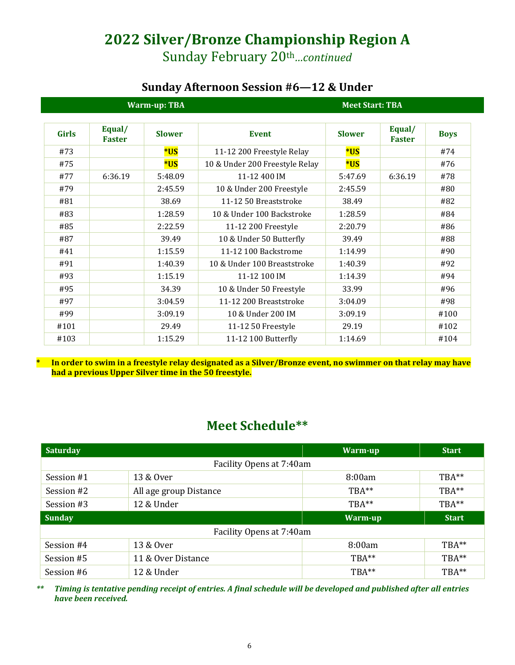## **2022 Silver/Bronze Championship Region A** Sunday February 20th*…continued*

## **Sunday Afternoon Session #6—12 & Under**

| <b>Warm-up: TBA</b> |                         |               |                                | <b>Meet Start: TBA</b> |                         |             |  |
|---------------------|-------------------------|---------------|--------------------------------|------------------------|-------------------------|-------------|--|
| <b>Girls</b>        | Equal/<br><b>Faster</b> | <b>Slower</b> | <b>Event</b>                   | <b>Slower</b>          | Equal/<br><b>Faster</b> | <b>Boys</b> |  |
| #73                 |                         | *US           | 11-12 200 Freestyle Relay      | *US                    |                         | #74         |  |
| #75                 |                         | *US           | 10 & Under 200 Freestyle Relay | *US                    |                         | #76         |  |
| #77                 | 6:36.19                 | 5:48.09       | 11-12 400 IM                   | 5:47.69                | 6:36.19                 | #78         |  |
| #79                 |                         | 2:45.59       | 10 & Under 200 Freestyle       | 2:45.59                |                         | #80         |  |
| #81                 |                         | 38.69         | 11-12 50 Breaststroke          | 38.49                  |                         | #82         |  |
| #83                 |                         | 1:28.59       | 10 & Under 100 Backstroke      | 1:28.59                |                         | #84         |  |
| #85                 |                         | 2:22.59       | 11-12 200 Freestyle            | 2:20.79                |                         | #86         |  |
| #87                 |                         | 39.49         | 10 & Under 50 Butterfly        | 39.49                  |                         | #88         |  |
| #41                 |                         | 1:15.59       | 11-12 100 Backstrome           | 1:14.99                |                         | #90         |  |
| #91                 |                         | 1:40.39       | 10 & Under 100 Breaststroke    | 1:40.39                |                         | #92         |  |
| #93                 |                         | 1:15.19       | 11-12 100 IM                   | 1:14.39                |                         | #94         |  |
| #95                 |                         | 34.39         | 10 & Under 50 Freestyle        | 33.99                  |                         | #96         |  |
| #97                 |                         | 3:04.59       | 11-12 200 Breaststroke         | 3:04.09                |                         | #98         |  |
| #99                 |                         | 3:09.19       | 10 & Under 200 IM              | 3:09.19                |                         | #100        |  |
| #101                |                         | 29.49         | 11-12 50 Freestyle             | 29.19                  |                         | #102        |  |
| #103                |                         | 1:15.29       | 11-12 100 Butterfly            | 1:14.69                |                         | #104        |  |

**\* In order to swim in a freestyle relay designated as a Silver/Bronze event, no swimmer on that relay may have had a previous Upper Silver time in the 50 freestyle.**

## **Meet Schedule\*\***

| <b>Saturday</b> |                          | <b>Warm-up</b> | <b>Start</b> |  |  |  |
|-----------------|--------------------------|----------------|--------------|--|--|--|
|                 | Facility Opens at 7:40am |                |              |  |  |  |
| Session #1      | 13 & Over                | 8:00am         | $TBA**$      |  |  |  |
| Session #2      | All age group Distance   | TBA**          | TBA**        |  |  |  |
| Session #3      | 12 & Under               | $TBA^{**}$     | TBA**        |  |  |  |
| <b>Sunday</b>   |                          | Warm-up        | <b>Start</b> |  |  |  |
|                 | Facility Opens at 7:40am |                |              |  |  |  |
| Session #4      | 13 & Over                | 8:00am         | TBA**        |  |  |  |
| Session #5      | 11 & Over Distance       | TBA**          | TBA**        |  |  |  |
| Session #6      | 12 & Under               | TBA**          | TBA**        |  |  |  |

*\*\* Timing is tentative pending receipt of entries. A final schedule will be developed and published after all entries have been received.*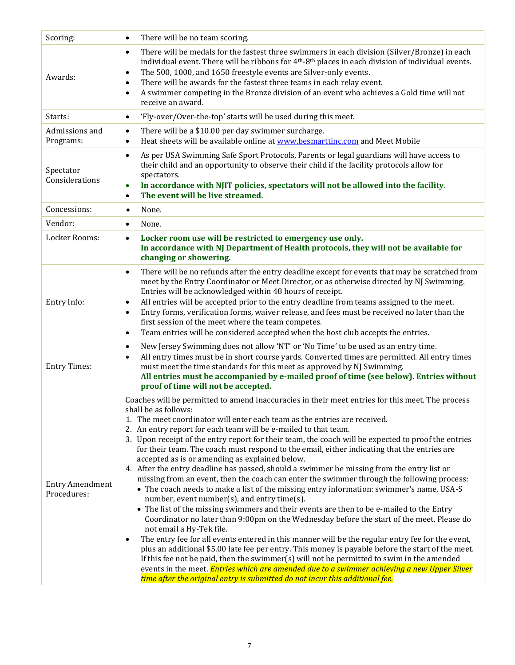| Scoring:                              | There will be no team scoring.<br>$\bullet$                                                                                                                                                                                                                                                                                                                                                                                                                                                                                                                                                                                                                                                                                                                                                                                                                                                                                                                                                                                                                                                                                                                                                                                                                                                                                                                                                                                                                                                                                                                                                    |
|---------------------------------------|------------------------------------------------------------------------------------------------------------------------------------------------------------------------------------------------------------------------------------------------------------------------------------------------------------------------------------------------------------------------------------------------------------------------------------------------------------------------------------------------------------------------------------------------------------------------------------------------------------------------------------------------------------------------------------------------------------------------------------------------------------------------------------------------------------------------------------------------------------------------------------------------------------------------------------------------------------------------------------------------------------------------------------------------------------------------------------------------------------------------------------------------------------------------------------------------------------------------------------------------------------------------------------------------------------------------------------------------------------------------------------------------------------------------------------------------------------------------------------------------------------------------------------------------------------------------------------------------|
| Awards:                               | There will be medals for the fastest three swimmers in each division (Silver/Bronze) in each<br>$\bullet$<br>individual event. There will be ribbons for 4 <sup>th</sup> -8 <sup>th</sup> places in each division of individual events.<br>The 500, 1000, and 1650 freestyle events are Silver-only events.<br>$\bullet$<br>There will be awards for the fastest three teams in each relay event.<br>$\bullet$<br>A swimmer competing in the Bronze division of an event who achieves a Gold time will not<br>$\bullet$<br>receive an award.                                                                                                                                                                                                                                                                                                                                                                                                                                                                                                                                                                                                                                                                                                                                                                                                                                                                                                                                                                                                                                                   |
| Starts:                               | 'Fly-over/Over-the-top' starts will be used during this meet.<br>$\bullet$                                                                                                                                                                                                                                                                                                                                                                                                                                                                                                                                                                                                                                                                                                                                                                                                                                                                                                                                                                                                                                                                                                                                                                                                                                                                                                                                                                                                                                                                                                                     |
| Admissions and<br>Programs:           | There will be a \$10.00 per day swimmer surcharge.<br>$\bullet$<br>Heat sheets will be available online at www.besmarttinc.com and Meet Mobile<br>$\bullet$                                                                                                                                                                                                                                                                                                                                                                                                                                                                                                                                                                                                                                                                                                                                                                                                                                                                                                                                                                                                                                                                                                                                                                                                                                                                                                                                                                                                                                    |
| Spectator<br>Considerations           | As per USA Swimming Safe Sport Protocols, Parents or legal guardians will have access to<br>$\bullet$<br>their child and an opportunity to observe their child if the facility protocols allow for<br>spectators.<br>In accordance with NJIT policies, spectators will not be allowed into the facility.<br>$\bullet$<br>The event will be live streamed.<br>$\bullet$                                                                                                                                                                                                                                                                                                                                                                                                                                                                                                                                                                                                                                                                                                                                                                                                                                                                                                                                                                                                                                                                                                                                                                                                                         |
| Concessions:                          | None.<br>$\bullet$                                                                                                                                                                                                                                                                                                                                                                                                                                                                                                                                                                                                                                                                                                                                                                                                                                                                                                                                                                                                                                                                                                                                                                                                                                                                                                                                                                                                                                                                                                                                                                             |
| Vendor:                               | None.<br>$\bullet$                                                                                                                                                                                                                                                                                                                                                                                                                                                                                                                                                                                                                                                                                                                                                                                                                                                                                                                                                                                                                                                                                                                                                                                                                                                                                                                                                                                                                                                                                                                                                                             |
| Locker Rooms:                         | Locker room use will be restricted to emergency use only.<br>$\bullet$<br>In accordance with NJ Department of Health protocols, they will not be available for<br>changing or showering.                                                                                                                                                                                                                                                                                                                                                                                                                                                                                                                                                                                                                                                                                                                                                                                                                                                                                                                                                                                                                                                                                                                                                                                                                                                                                                                                                                                                       |
| Entry Info:                           | There will be no refunds after the entry deadline except for events that may be scratched from<br>$\bullet$<br>meet by the Entry Coordinator or Meet Director, or as otherwise directed by NJ Swimming.<br>Entries will be acknowledged within 48 hours of receipt.<br>All entries will be accepted prior to the entry deadline from teams assigned to the meet.<br>$\bullet$<br>Entry forms, verification forms, waiver release, and fees must be received no later than the<br>$\bullet$<br>first session of the meet where the team competes.<br>Team entries will be considered accepted when the host club accepts the entries.<br>$\bullet$                                                                                                                                                                                                                                                                                                                                                                                                                                                                                                                                                                                                                                                                                                                                                                                                                                                                                                                                              |
| <b>Entry Times:</b>                   | New Jersey Swimming does not allow 'NT' or 'No Time' to be used as an entry time.<br>٠<br>All entry times must be in short course yards. Converted times are permitted. All entry times<br>$\bullet$<br>must meet the time standards for this meet as approved by NJ Swimming.<br>All entries must be accompanied by e-mailed proof of time (see below). Entries without<br>proof of time will not be accepted.                                                                                                                                                                                                                                                                                                                                                                                                                                                                                                                                                                                                                                                                                                                                                                                                                                                                                                                                                                                                                                                                                                                                                                                |
| <b>Entry Amendment</b><br>Procedures: | Coaches will be permitted to amend inaccuracies in their meet entries for this meet. The process<br>shall be as follows:<br>1. The meet coordinator will enter each team as the entries are received.<br>2. An entry report for each team will be e-mailed to that team.<br>3. Upon receipt of the entry report for their team, the coach will be expected to proof the entries<br>for their team. The coach must respond to the email, either indicating that the entries are<br>accepted as is or amending as explained below.<br>4. After the entry deadline has passed, should a swimmer be missing from the entry list or<br>missing from an event, then the coach can enter the swimmer through the following process:<br>• The coach needs to make a list of the missing entry information: swimmer's name, USA-S<br>number, event number(s), and entry time(s).<br>• The list of the missing swimmers and their events are then to be e-mailed to the Entry<br>Coordinator no later than 9:00pm on the Wednesday before the start of the meet. Please do<br>not email a Hy-Tek file.<br>The entry fee for all events entered in this manner will be the regular entry fee for the event,<br>$\bullet$<br>plus an additional \$5.00 late fee per entry. This money is payable before the start of the meet.<br>If this fee not be paid, then the swimmer(s) will not be permitted to swim in the amended<br>events in the meet. Entries which are amended due to a swimmer achieving a new Upper Silver<br>time after the original entry is submitted do not incur this additional fee. |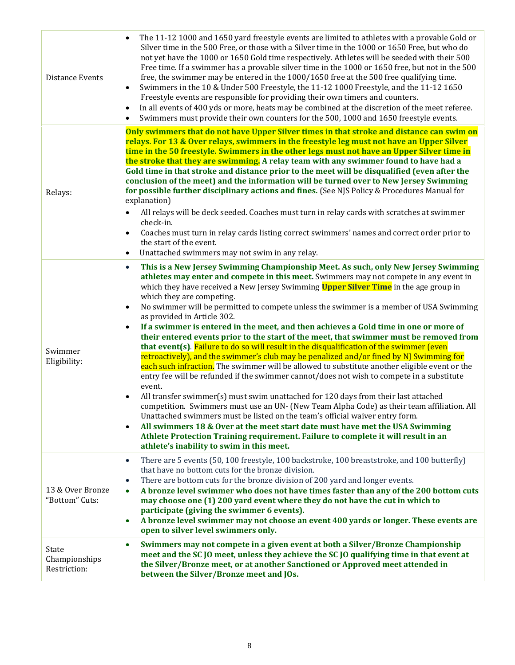| <b>Distance Events</b>                 | The 11-12 1000 and 1650 yard freestyle events are limited to athletes with a provable Gold or<br>$\bullet$<br>Silver time in the 500 Free, or those with a Silver time in the 1000 or 1650 Free, but who do<br>not yet have the 1000 or 1650 Gold time respectively. Athletes will be seeded with their 500<br>Free time. If a swimmer has a provable silver time in the 1000 or 1650 free, but not in the 500<br>free, the swimmer may be entered in the 1000/1650 free at the 500 free qualifying time.<br>Swimmers in the 10 & Under 500 Freestyle, the 11-12 1000 Freestyle, and the 11-12 1650<br>$\bullet$<br>Freestyle events are responsible for providing their own timers and counters.<br>In all events of 400 yds or more, heats may be combined at the discretion of the meet referee.<br>$\bullet$<br>Swimmers must provide their own counters for the 500, 1000 and 1650 freestyle events.                                                                                                                                                                                                                                                                                                                                                                                                                                                                                                                                                                                                                               |
|----------------------------------------|-----------------------------------------------------------------------------------------------------------------------------------------------------------------------------------------------------------------------------------------------------------------------------------------------------------------------------------------------------------------------------------------------------------------------------------------------------------------------------------------------------------------------------------------------------------------------------------------------------------------------------------------------------------------------------------------------------------------------------------------------------------------------------------------------------------------------------------------------------------------------------------------------------------------------------------------------------------------------------------------------------------------------------------------------------------------------------------------------------------------------------------------------------------------------------------------------------------------------------------------------------------------------------------------------------------------------------------------------------------------------------------------------------------------------------------------------------------------------------------------------------------------------------------------|
| Relays:                                | Only swimmers that do not have Upper Silver times in that stroke and distance can swim on<br>relays. For 13 & Over relays, swimmers in the freestyle leg must not have an Upper Silver<br>time in the 50 freestyle. Swimmers in the other legs must not have an Upper Silver time in<br>the stroke that they are swimming. A relay team with any swimmer found to have had a<br>Gold time in that stroke and distance prior to the meet will be disqualified (even after the<br>conclusion of the meet) and the information will be turned over to New Jersey Swimming<br>for possible further disciplinary actions and fines. (See NJS Policy & Procedures Manual for<br>explanation)<br>All relays will be deck seeded. Coaches must turn in relay cards with scratches at swimmer<br>check-in.<br>Coaches must turn in relay cards listing correct swimmers' names and correct order prior to<br>the start of the event.<br>Unattached swimmers may not swim in any relay.<br>$\bullet$                                                                                                                                                                                                                                                                                                                                                                                                                                                                                                                                              |
| Swimmer<br>Eligibility:                | This is a New Jersey Swimming Championship Meet. As such, only New Jersey Swimming<br>$\bullet$<br>athletes may enter and compete in this meet. Swimmers may not compete in any event in<br>which they have received a New Jersey Swimming Upper Silver Time in the age group in<br>which they are competing.<br>No swimmer will be permitted to compete unless the swimmer is a member of USA Swimming<br>as provided in Article 302.<br>If a swimmer is entered in the meet, and then achieves a Gold time in one or more of<br>their entered events prior to the start of the meet, that swimmer must be removed from<br>that event(s). Failure to do so will result in the disqualification of the swimmer (even<br>retroactively), and the swimmer's club may be penalized and/or fined by NJ Swimming for<br>each such infraction. The swimmer will be allowed to substitute another eligible event or the<br>entry fee will be refunded if the swimmer cannot/does not wish to compete in a substitute<br>event.<br>All transfer swimmer(s) must swim unattached for 120 days from their last attached<br>$\bullet$<br>competition. Swimmers must use an UN- (New Team Alpha Code) as their team affiliation. All<br>Unattached swimmers must be listed on the team's official waiver entry form.<br>All swimmers 18 & Over at the meet start date must have met the USA Swimming<br>$\bullet$<br>Athlete Protection Training requirement. Failure to complete it will result in an<br>athlete's inability to swim in this meet. |
| 13 & Over Bronze<br>"Bottom" Cuts:     | There are 5 events (50, 100 freestyle, 100 backstroke, 100 breaststroke, and 100 butterfly)<br>$\bullet$<br>that have no bottom cuts for the bronze division.<br>There are bottom cuts for the bronze division of 200 yard and longer events.<br>$\bullet$<br>A bronze level swimmer who does not have times faster than any of the 200 bottom cuts<br>$\bullet$<br>may choose one (1) 200 yard event where they do not have the cut in which to<br>participate (giving the swimmer 6 events).<br>A bronze level swimmer may not choose an event 400 yards or longer. These events are<br>$\bullet$<br>open to silver level swimmers only.                                                                                                                                                                                                                                                                                                                                                                                                                                                                                                                                                                                                                                                                                                                                                                                                                                                                                              |
| State<br>Championships<br>Restriction: | Swimmers may not compete in a given event at both a Silver/Bronze Championship<br>$\bullet$<br>meet and the SC JO meet, unless they achieve the SC JO qualifying time in that event at<br>the Silver/Bronze meet, or at another Sanctioned or Approved meet attended in<br>between the Silver/Bronze meet and JOs.                                                                                                                                                                                                                                                                                                                                                                                                                                                                                                                                                                                                                                                                                                                                                                                                                                                                                                                                                                                                                                                                                                                                                                                                                      |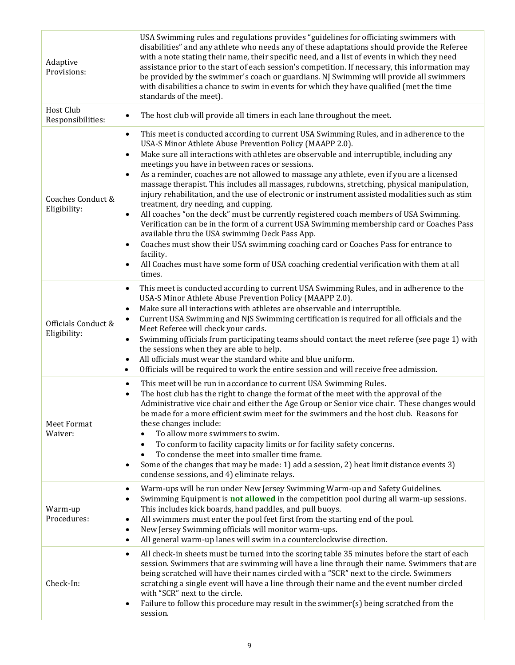| Adaptive<br>Provisions:<br>Host Club | USA Swimming rules and regulations provides "guidelines for officiating swimmers with<br>disabilities" and any athlete who needs any of these adaptations should provide the Referee<br>with a note stating their name, their specific need, and a list of events in which they need<br>assistance prior to the start of each session's competition. If necessary, this information may<br>be provided by the swimmer's coach or guardians. NJ Swimming will provide all swimmers<br>with disabilities a chance to swim in events for which they have qualified (met the time<br>standards of the meet).                                                                                                                                                                                                                                                                                                                                                                                                                                                                                                                          |
|--------------------------------------|-----------------------------------------------------------------------------------------------------------------------------------------------------------------------------------------------------------------------------------------------------------------------------------------------------------------------------------------------------------------------------------------------------------------------------------------------------------------------------------------------------------------------------------------------------------------------------------------------------------------------------------------------------------------------------------------------------------------------------------------------------------------------------------------------------------------------------------------------------------------------------------------------------------------------------------------------------------------------------------------------------------------------------------------------------------------------------------------------------------------------------------|
| Responsibilities:                    | The host club will provide all timers in each lane throughout the meet.<br>$\bullet$                                                                                                                                                                                                                                                                                                                                                                                                                                                                                                                                                                                                                                                                                                                                                                                                                                                                                                                                                                                                                                              |
| Coaches Conduct &<br>Eligibility:    | This meet is conducted according to current USA Swimming Rules, and in adherence to the<br>$\bullet$<br>USA-S Minor Athlete Abuse Prevention Policy (MAAPP 2.0).<br>Make sure all interactions with athletes are observable and interruptible, including any<br>$\bullet$<br>meetings you have in between races or sessions.<br>As a reminder, coaches are not allowed to massage any athlete, even if you are a licensed<br>massage therapist. This includes all massages, rubdowns, stretching, physical manipulation,<br>injury rehabilitation, and the use of electronic or instrument assisted modalities such as stim<br>treatment, dry needing, and cupping.<br>All coaches "on the deck" must be currently registered coach members of USA Swimming.<br>$\bullet$<br>Verification can be in the form of a current USA Swimming membership card or Coaches Pass<br>available thru the USA swimming Deck Pass App.<br>Coaches must show their USA swimming coaching card or Coaches Pass for entrance to<br>facility.<br>All Coaches must have some form of USA coaching credential verification with them at all<br>times. |
| Officials Conduct &<br>Eligibility:  | This meet is conducted according to current USA Swimming Rules, and in adherence to the<br>$\bullet$<br>USA-S Minor Athlete Abuse Prevention Policy (MAAPP 2.0).<br>Make sure all interactions with athletes are observable and interruptible.<br>$\bullet$<br>Current USA Swimming and NJS Swimming certification is required for all officials and the<br>$\bullet$<br>Meet Referee will check your cards.<br>Swimming officials from participating teams should contact the meet referee (see page 1) with<br>$\bullet$<br>the sessions when they are able to help.<br>All officials must wear the standard white and blue uniform.<br>$\bullet$<br>Officials will be required to work the entire session and will receive free admission.<br>$\bullet$                                                                                                                                                                                                                                                                                                                                                                        |
| Meet Format<br>Waiver:               | This meet will be run in accordance to current USA Swimming Rules.<br>$\bullet$<br>The host club has the right to change the format of the meet with the approval of the<br>$\bullet$<br>Administrative vice chair and either the Age Group or Senior vice chair. These changes would<br>be made for a more efficient swim meet for the swimmers and the host club. Reasons for<br>these changes include:<br>To allow more swimmers to swim.<br>To conform to facility capacity limits or for facility safety concerns.<br>To condense the meet into smaller time frame.<br>Some of the changes that may be made: 1) add a session, 2) heat limit distance events 3)<br>$\bullet$<br>condense sessions, and 4) eliminate relays.                                                                                                                                                                                                                                                                                                                                                                                                  |
| Warm-up<br>Procedures:               | Warm-ups will be run under New Jersey Swimming Warm-up and Safety Guidelines.<br>$\bullet$<br>Swimming Equipment is <b>not allowed</b> in the competition pool during all warm-up sessions.<br>$\bullet$<br>This includes kick boards, hand paddles, and pull buoys.<br>All swimmers must enter the pool feet first from the starting end of the pool.<br>$\bullet$<br>New Jersey Swimming officials will monitor warm-ups.<br>$\bullet$<br>All general warm-up lanes will swim in a counterclockwise direction.<br>$\bullet$                                                                                                                                                                                                                                                                                                                                                                                                                                                                                                                                                                                                     |
| Check-In:                            | All check-in sheets must be turned into the scoring table 35 minutes before the start of each<br>$\bullet$<br>session. Swimmers that are swimming will have a line through their name. Swimmers that are<br>being scratched will have their names circled with a "SCR" next to the circle. Swimmers<br>scratching a single event will have a line through their name and the event number circled<br>with "SCR" next to the circle.<br>Failure to follow this procedure may result in the swimmer(s) being scratched from the<br>$\bullet$<br>session.                                                                                                                                                                                                                                                                                                                                                                                                                                                                                                                                                                            |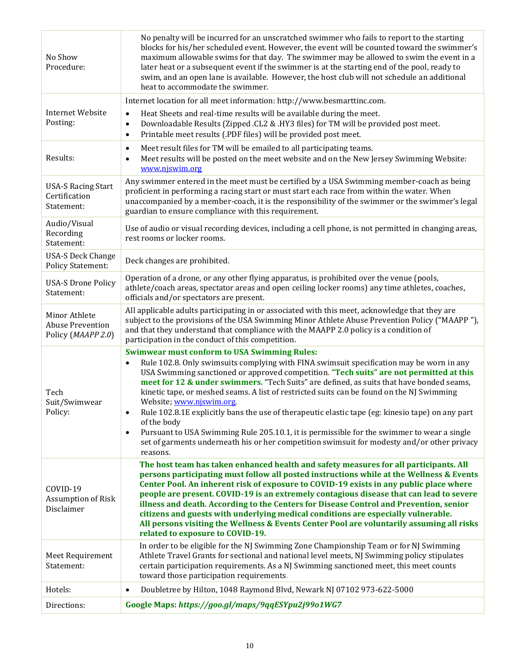| No Show<br>Procedure:                                          | No penalty will be incurred for an unscratched swimmer who fails to report to the starting<br>blocks for his/her scheduled event. However, the event will be counted toward the swimmer's<br>maximum allowable swims for that day. The swimmer may be allowed to swim the event in a<br>later heat or a subsequent event if the swimmer is at the starting end of the pool, ready to<br>swim, and an open lane is available. However, the host club will not schedule an additional<br>heat to accommodate the swimmer.                                                                                                                                                                                                                                                                                                            |
|----------------------------------------------------------------|------------------------------------------------------------------------------------------------------------------------------------------------------------------------------------------------------------------------------------------------------------------------------------------------------------------------------------------------------------------------------------------------------------------------------------------------------------------------------------------------------------------------------------------------------------------------------------------------------------------------------------------------------------------------------------------------------------------------------------------------------------------------------------------------------------------------------------|
|                                                                | Internet location for all meet information: http://www.besmarttinc.com.                                                                                                                                                                                                                                                                                                                                                                                                                                                                                                                                                                                                                                                                                                                                                            |
| <b>Internet Website</b><br>Posting:                            | Heat Sheets and real-time results will be available during the meet.<br>$\bullet$<br>Downloadable Results (Zipped .CL2 & .HY3 files) for TM will be provided post meet.<br>$\bullet$<br>Printable meet results (.PDF files) will be provided post meet.<br>$\bullet$                                                                                                                                                                                                                                                                                                                                                                                                                                                                                                                                                               |
| Results:                                                       | Meet result files for TM will be emailed to all participating teams.<br>$\bullet$<br>Meet results will be posted on the meet website and on the New Jersey Swimming Website:<br>$\bullet$<br>www.njswim.org                                                                                                                                                                                                                                                                                                                                                                                                                                                                                                                                                                                                                        |
| <b>USA-S Racing Start</b><br>Certification<br>Statement:       | Any swimmer entered in the meet must be certified by a USA Swimming member-coach as being<br>proficient in performing a racing start or must start each race from within the water. When<br>unaccompanied by a member-coach, it is the responsibility of the swimmer or the swimmer's legal<br>guardian to ensure compliance with this requirement.                                                                                                                                                                                                                                                                                                                                                                                                                                                                                |
| Audio/Visual<br>Recording<br>Statement:                        | Use of audio or visual recording devices, including a cell phone, is not permitted in changing areas,<br>rest rooms or locker rooms.                                                                                                                                                                                                                                                                                                                                                                                                                                                                                                                                                                                                                                                                                               |
| <b>USA-S Deck Change</b><br><b>Policy Statement:</b>           | Deck changes are prohibited.                                                                                                                                                                                                                                                                                                                                                                                                                                                                                                                                                                                                                                                                                                                                                                                                       |
| <b>USA-S Drone Policy</b><br>Statement:                        | Operation of a drone, or any other flying apparatus, is prohibited over the venue (pools,<br>athlete/coach areas, spectator areas and open ceiling locker rooms) any time athletes, coaches,<br>officials and/or spectators are present.                                                                                                                                                                                                                                                                                                                                                                                                                                                                                                                                                                                           |
| Minor Athlete<br><b>Abuse Prevention</b><br>Policy (MAAPP 2.0) | All applicable adults participating in or associated with this meet, acknowledge that they are<br>subject to the provisions of the USA Swimming Minor Athlete Abuse Prevention Policy ("MAAPP"),<br>and that they understand that compliance with the MAAPP 2.0 policy is a condition of<br>participation in the conduct of this competition.                                                                                                                                                                                                                                                                                                                                                                                                                                                                                      |
| Tech<br>Suit/Swimwear<br>Policy:                               | <b>Swimwear must conform to USA Swimming Rules:</b><br>Rule 102.8. Only swimsuits complying with FINA swimsuit specification may be worn in any<br>$\bullet$<br>USA Swimming sanctioned or approved competition. "Tech suits" are not permitted at this<br>meet for 12 & under swimmers. "Tech Suits" are defined, as suits that have bonded seams,<br>kinetic tape, or meshed seams. A list of restricted suits can be found on the NJ Swimming<br>Website; www.njswim.org.<br>Rule 102.8.1E explicitly bans the use of therapeutic elastic tape (eg: kinesio tape) on any part<br>$\bullet$<br>of the body<br>Pursuant to USA Swimming Rule 205.10.1, it is permissible for the swimmer to wear a single<br>$\bullet$<br>set of garments underneath his or her competition swimsuit for modesty and/or other privacy<br>reasons. |
| COVID-19<br>Assumption of Risk<br>Disclaimer                   | The host team has taken enhanced health and safety measures for all participants. All<br>persons participating must follow all posted instructions while at the Wellness & Events<br>Center Pool. An inherent risk of exposure to COVID-19 exists in any public place where<br>people are present. COVID-19 is an extremely contagious disease that can lead to severe<br>illness and death. According to the Centers for Disease Control and Prevention, senior<br>citizens and guests with underlying medical conditions are especially vulnerable.<br>All persons visiting the Wellness & Events Center Pool are voluntarily assuming all risks<br>related to exposure to COVID-19.                                                                                                                                             |
| Meet Requirement<br>Statement:                                 | In order to be eligible for the NJ Swimming Zone Championship Team or for NJ Swimming<br>Athlete Travel Grants for sectional and national level meets, NJ Swimming policy stipulates<br>certain participation requirements. As a NJ Swimming sanctioned meet, this meet counts<br>toward those participation requirements.                                                                                                                                                                                                                                                                                                                                                                                                                                                                                                         |
| Hotels:                                                        | Doubletree by Hilton, 1048 Raymond Blvd, Newark NJ 07102 973-622-5000<br>$\bullet$                                                                                                                                                                                                                                                                                                                                                                                                                                                                                                                                                                                                                                                                                                                                                 |
| Directions:                                                    | Google Maps: https://goo.gl/maps/9qqESYpu2j99o1WG7                                                                                                                                                                                                                                                                                                                                                                                                                                                                                                                                                                                                                                                                                                                                                                                 |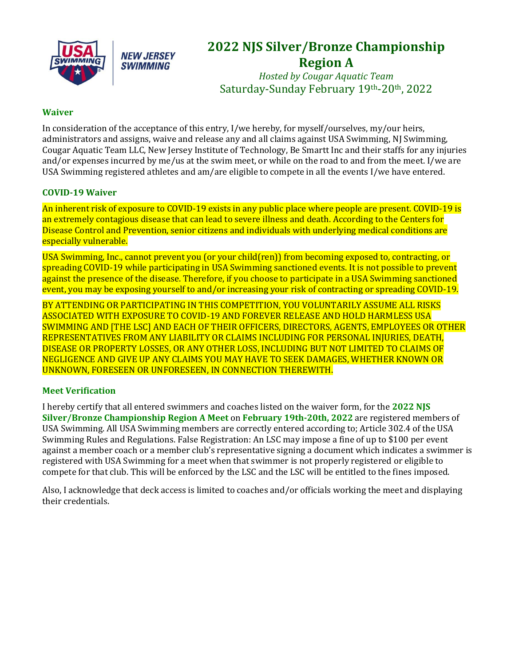

**NEW JERSEY SWIMMING** 



*Hosted by Cougar Aquatic Team* Saturday-Sunday February 19th-20th, 2022

#### **Waiver**

In consideration of the acceptance of this entry, I/we hereby, for myself/ourselves, my/our heirs, administrators and assigns, waive and release any and all claims against USA Swimming, NJ Swimming, Cougar Aquatic Team LLC, New Jersey Institute of Technology, Be Smartt Inc and their staffs for any injuries and/or expenses incurred by me/us at the swim meet, or while on the road to and from the meet. I/we are USA Swimming registered athletes and am/are eligible to compete in all the events I/we have entered.

#### **COVID-19 Waiver**

An inherent risk of exposure to COVID-19 exists in any public place where people are present. COVID-19 is an extremely contagious disease that can lead to severe illness and death. According to the Centers for Disease Control and Prevention, senior citizens and individuals with underlying medical conditions are especially vulnerable.

USA Swimming, Inc., cannot prevent you (or your child(ren)) from becoming exposed to, contracting, or spreading COVID-19 while participating in USA Swimming sanctioned events. It is not possible to prevent against the presence of the disease. Therefore, if you choose to participate in a USA Swimming sanctioned event, you may be exposing yourself to and/or increasing your risk of contracting or spreading COVID-19.

BY ATTENDING OR PARTICIPATING IN THIS COMPETITION, YOU VOLUNTARILY ASSUME ALL RISKS ASSOCIATED WITH EXPOSURE TO COVID-19 AND FOREVER RELEASE AND HOLD HARMLESS USA SWIMMING AND [THE LSC] AND EACH OF THEIR OFFICERS, DIRECTORS, AGENTS, EMPLOYEES OR OTHER REPRESENTATIVES FROM ANY LIABILITY OR CLAIMS INCLUDING FOR PERSONAL INJURIES, DEATH, DISEASE OR PROPERTY LOSSES, OR ANY OTHER LOSS, INCLUDING BUT NOT LIMITED TO CLAIMS OF NEGLIGENCE AND GIVE UP ANY CLAIMS YOU MAY HAVE TO SEEK DAMAGES, WHETHER KNOWN OR UNKNOWN, FORESEEN OR UNFORESEEN, IN CONNECTION THEREWITH.

#### **Meet Verification**

I hereby certify that all entered swimmers and coaches listed on the waiver form, for the **2022 NJS Silver/Bronze Championship Region A Meet** on **February 19th-20th, 2022** are registered members of USA Swimming. All USA Swimming members are correctly entered according to; Article 302.4 of the USA Swimming Rules and Regulations. False Registration: An LSC may impose a fine of up to \$100 per event against a member coach or a member club's representative signing a document which indicates a swimmer is registered with USA Swimming for a meet when that swimmer is not properly registered or eligible to compete for that club. This will be enforced by the LSC and the LSC will be entitled to the fines imposed.

Also, I acknowledge that deck access is limited to coaches and/or officials working the meet and displaying their credentials.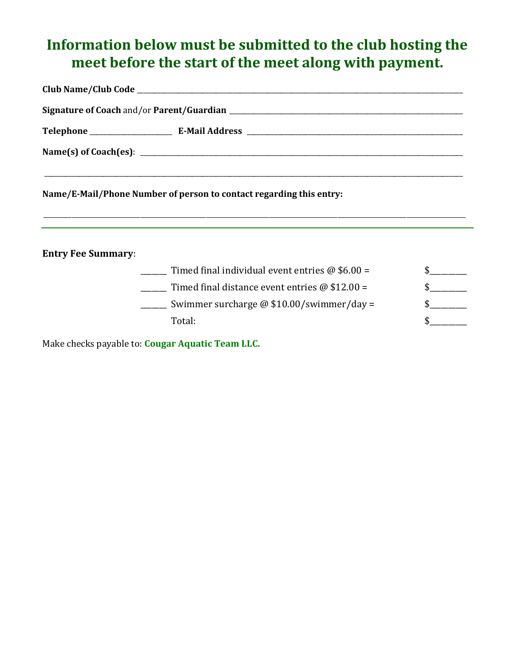## **Information below must be submitted to the club hosting the meet before the start of the meet along with payment.**

\_\_\_\_\_\_\_\_\_\_\_\_\_\_\_\_\_\_\_\_\_\_\_\_\_\_\_\_\_\_\_\_\_\_\_\_\_\_\_\_\_\_\_\_\_\_\_\_\_\_\_\_\_\_\_\_\_\_\_\_\_\_\_\_\_\_\_\_\_\_\_\_\_\_\_\_\_\_\_\_\_\_\_\_\_\_\_\_\_\_\_\_\_\_\_\_\_\_\_\_\_\_\_\_\_\_\_\_\_\_\_\_\_\_\_\_\_\_\_\_\_\_\_\_\_\_\_\_\_\_\_\_\_\_\_

**Name/E-Mail/Phone Number of person to contact regarding this entry:** 

**Entry Fee Summary**:

| Timed final individual event entries $\omega$ \$6.00 = |  |
|--------------------------------------------------------|--|
| Timed final distance event entries $\omega$ \$12.00 =  |  |
| Swimmer surcharge $\omega$ \$10.00/swimmer/day =       |  |
| Total:                                                 |  |

Make checks payable to: **Cougar Aquatic Team LLC.**